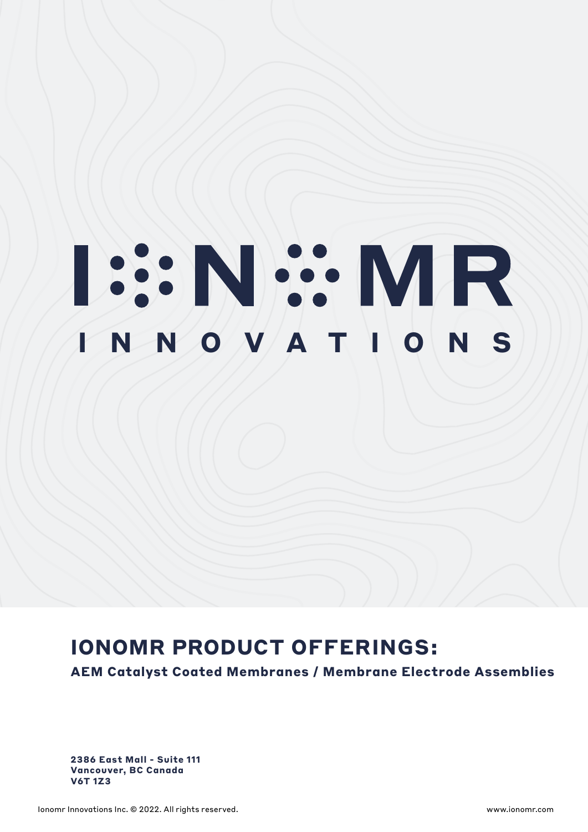# **ISSNEY MR**

# **IONOMR PRODUCT OFFERINGS:**

**AEM Catalyst Coated Membranes / Membrane Electrode Assemblies**

**2386 East Mall - Suite 111 Vancouver, BC Canada V6T 1Z3**